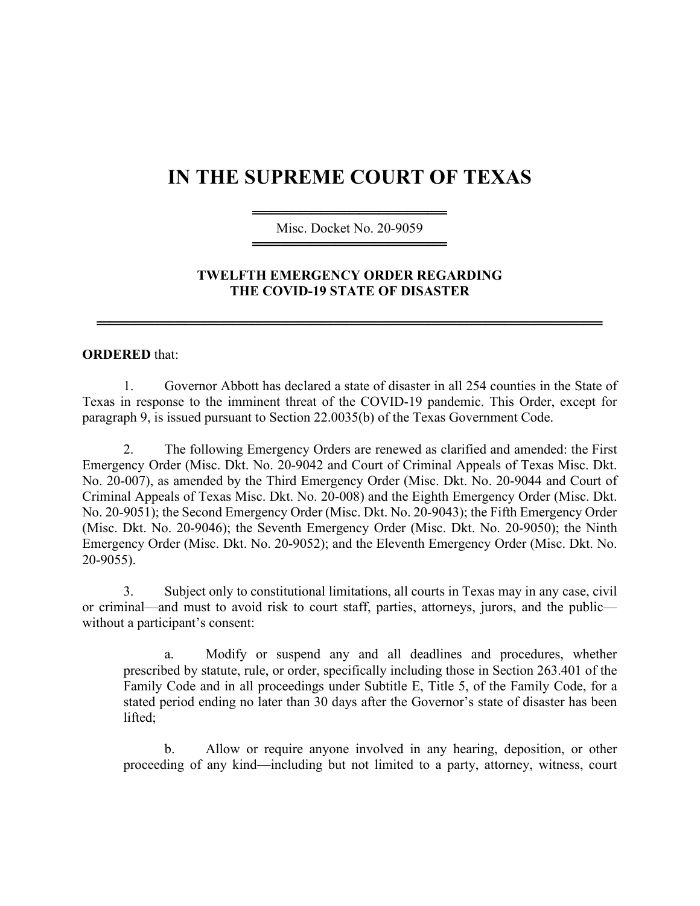## **IN THE SUPREME COURT OF TEXAS**

════════════════════ Misc. Docket No. 20-9059 ════════════════════

## **TWELFTH EMERGENCY ORDER REGARDING THE COVID-19 STATE OF DISASTER**

════════════════════════════════════════════════════

## **ORDERED** that:

1. Governor Abbott has declared a state of disaster in all 254 counties in the State of Texas in response to the imminent threat of the COVID-19 pandemic. This Order, except for paragraph 9, is issued pursuant to Section 22.0035(b) of the Texas Government Code.

2. The following Emergency Orders are renewed as clarified and amended: the First Emergency Order (Misc. Dkt. No. 20-9042 and Court of Criminal Appeals of Texas Misc. Dkt. No. 20-007), as amended by the Third Emergency Order (Misc. Dkt. No. 20-9044 and Court of Criminal Appeals of Texas Misc. Dkt. No. 20-008) and the Eighth Emergency Order (Misc. Dkt. No. 20-9051); the Second Emergency Order (Misc. Dkt. No. 20-9043); the Fifth Emergency Order (Misc. Dkt. No. 20-9046); the Seventh Emergency Order (Misc. Dkt. No. 20-9050); the Ninth Emergency Order (Misc. Dkt. No. 20-9052); and the Eleventh Emergency Order (Misc. Dkt. No. 20-9055).

3. Subject only to constitutional limitations, all courts in Texas may in any case, civil or criminal—and must to avoid risk to court staff, parties, attorneys, jurors, and the public without a participant's consent:

a. Modify or suspend any and all deadlines and procedures, whether prescribed by statute, rule, or order, specifically including those in Section 263.401 of the Family Code and in all proceedings under Subtitle E, Title 5, of the Family Code, for a stated period ending no later than 30 days after the Governor's state of disaster has been lifted;

b. Allow or require anyone involved in any hearing, deposition, or other proceeding of any kind—including but not limited to a party, attorney, witness, court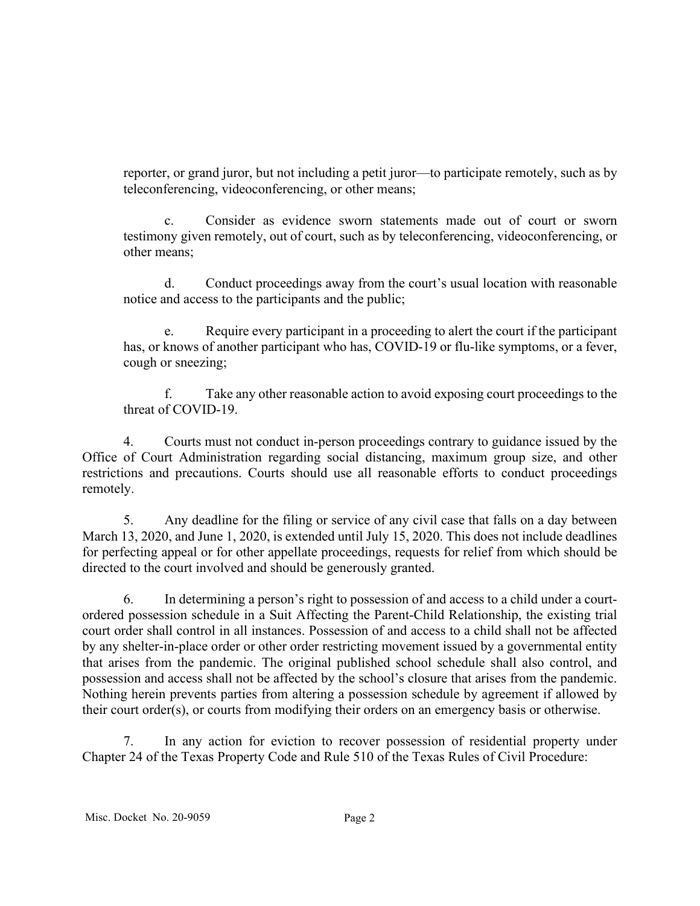reporter, or grand juror, but not including a petit juror—to participate remotely, such as by teleconferencing, videoconferencing, or other means;

c. Consider as evidence sworn statements made out of court or sworn testimony given remotely, out of court, such as by teleconferencing, videoconferencing, or other means;

d. Conduct proceedings away from the court's usual location with reasonable notice and access to the participants and the public;

Require every participant in a proceeding to alert the court if the participant has, or knows of another participant who has, COVID-19 or flu-like symptoms, or a fever, cough or sneezing;

f. Take any other reasonable action to avoid exposing court proceedings to the threat of COVID-19.

4. Courts must not conduct in-person proceedings contrary to guidance issued by the Office of Court Administration regarding social distancing, maximum group size, and other restrictions and precautions. Courts should use all reasonable efforts to conduct proceedings remotely.

5. Any deadline for the filing or service of any civil case that falls on a day between March 13, 2020, and June 1, 2020, is extended until July 15, 2020. This does not include deadlines for perfecting appeal or for other appellate proceedings, requests for relief from which should be directed to the court involved and should be generously granted.

6. In determining a person's right to possession of and access to a child under a courtordered possession schedule in a Suit Affecting the Parent-Child Relationship, the existing trial court order shall control in all instances. Possession of and access to a child shall not be affected by any shelter-in-place order or other order restricting movement issued by a governmental entity that arises from the pandemic. The original published school schedule shall also control, and possession and access shall not be affected by the school's closure that arises from the pandemic. Nothing herein prevents parties from altering a possession schedule by agreement if allowed by their court order(s), or courts from modifying their orders on an emergency basis or otherwise.

7. In any action for eviction to recover possession of residential property under Chapter 24 of the Texas Property Code and Rule 510 of the Texas Rules of Civil Procedure: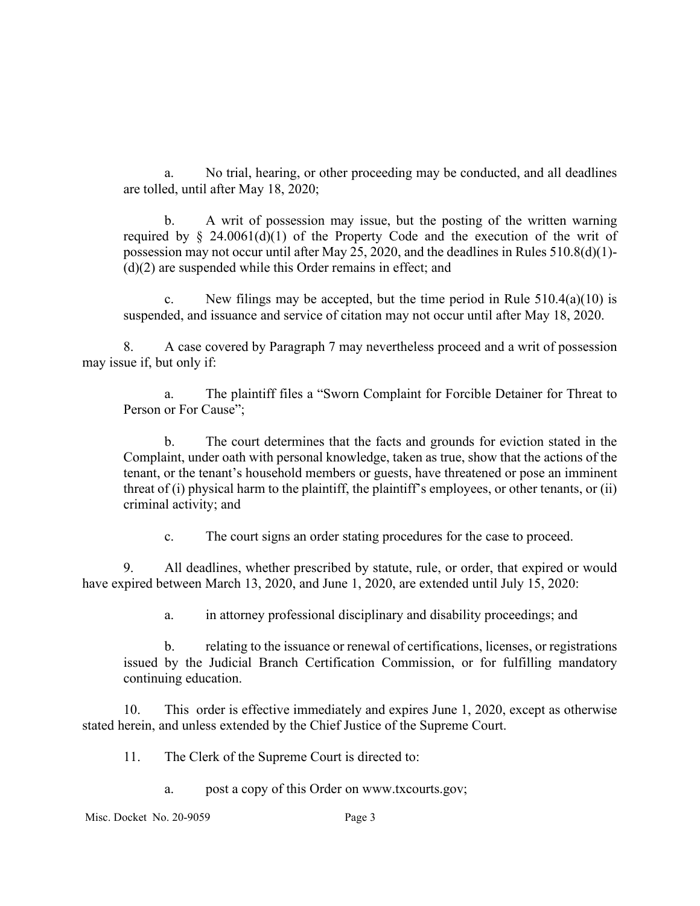a. No trial, hearing, or other proceeding may be conducted, and all deadlines are tolled, until after May 18, 2020;

b. A writ of possession may issue, but the posting of the written warning required by  $\frac{1}{2}$  24.0061(d)(1) of the Property Code and the execution of the writ of possession may not occur until after May 25, 2020, and the deadlines in Rules 510.8(d)(1)- (d)(2) are suspended while this Order remains in effect; and

c. New filings may be accepted, but the time period in Rule  $510.4(a)(10)$  is suspended, and issuance and service of citation may not occur until after May 18, 2020.

8. A case covered by Paragraph 7 may nevertheless proceed and a writ of possession may issue if, but only if:

a. The plaintiff files a "Sworn Complaint for Forcible Detainer for Threat to Person or For Cause";

b. The court determines that the facts and grounds for eviction stated in the Complaint, under oath with personal knowledge, taken as true, show that the actions of the tenant, or the tenant's household members or guests, have threatened or pose an imminent threat of (i) physical harm to the plaintiff, the plaintiff's employees, or other tenants, or (ii) criminal activity; and

c. The court signs an order stating procedures for the case to proceed.

9. All deadlines, whether prescribed by statute, rule, or order, that expired or would have expired between March 13, 2020, and June 1, 2020, are extended until July 15, 2020:

a. in attorney professional disciplinary and disability proceedings; and

b. relating to the issuance or renewal of certifications, licenses, or registrations issued by the Judicial Branch Certification Commission, or for fulfilling mandatory continuing education.

10. This order is effective immediately and expires June 1, 2020, except as otherwise stated herein, and unless extended by the Chief Justice of the Supreme Court.

- 11. The Clerk of the Supreme Court is directed to:
	- a. post a copy of this Order on www.txcourts.gov;